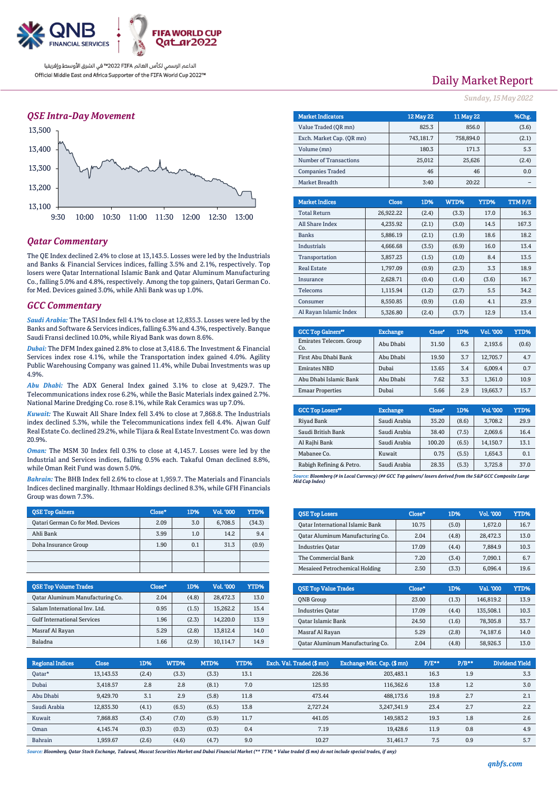

#### *QSE Intra-Day Movement*



## *Qatar Commentary*

The QE Index declined 2.4% to close at 13,143.5. Losses were led by the Industrials and Banks & Financial Services indices, falling 3.5% and 2.1%, respectively. Top losers were Qatar International Islamic Bank and Qatar Aluminum Manufacturing Co., falling 5.0% and 4.8%, respectively. Among the top gainers, Qatari German Co. for Med. Devices gained 3.0%, while Ahli Bank was up 1.0%.

#### *GCC Commentary*

*Saudi Arabia:* The TASI Index fell 4.1% to close at 12,835.3. Losses were led by the Banks and Software & Services indices, falling 6.3% and 4.3%, respectively. Banque Saudi Fransi declined 10.0%, while Riyad Bank was down 8.6%.

*Dubai:* The DFM Index gained 2.8% to close at 3,418.6. The Investment & Financial Services index rose 4.1%, while the Transportation index gained 4.0%. Agility Public Warehousing Company was gained 11.4%, while Dubai Investments was up 4.9%.

*Abu Dhabi:* The ADX General Index gained 3.1% to close at 9,429.7. The Telecommunications index rose 6.2%, while the Basic Materials index gained 2.7%. National Marine Dredging Co. rose 8.1%, while Rak Ceramics was up 7.0%.

*Kuwait:* The Kuwait All Share Index fell 3.4% to close at 7,868.8. The Industrials index declined 5.3%, while the Telecommunications index fell 4.4%. Ajwan Gulf Real Estate Co. declined 29.2%, while Tijara & Real Estate Investment Co. was down 20.9%.

*Oman:* The MSM 30 Index fell 0.3% to close at 4,145.7. Losses were led by the Industrial and Services indices, falling 0.5% each. Takaful Oman declined 8.8%, while Oman Reit Fund was down 5.0%.

*Bahrain:* The BHB Index fell 2.6% to close at 1,959.7. The Materials and Financials Indices declined marginally. Ithmaar Holdings declined 8.3%, while GFH Financials Group was down 7.3%.

| <b>QSE Top Gainers</b>            | Close* | 1D% | <b>Vol. '000</b> | YTD%   |
|-----------------------------------|--------|-----|------------------|--------|
| Qatari German Co for Med. Devices | 2.09   | 3.0 | 6.708.5          | (34.3) |
| Ahli Bank                         | 3.99   | 1.0 | 14.2             | 9.4    |
| Doha Insurance Group              | 1.90   | 0.1 | 31.3             | (0.9)  |
|                                   |        |     |                  |        |
|                                   |        |     |                  |        |

| <b>QSE Top Volume Trades</b>       | Close* | 1D%   | <b>Vol. '000</b> | <b>YTD%</b> |
|------------------------------------|--------|-------|------------------|-------------|
| Qatar Aluminum Manufacturing Co.   | 2.04   | (4.8) | 28,472.3         | 13.0        |
| Salam International Inv. Ltd.      | 0.95   | (1.5) | 15,262.2         | 15.4        |
| <b>Gulf International Services</b> | 1.96   | (2.3) | 14.220.0         | 13.9        |
| Masraf Al Rayan                    | 5.29   | (2.8) | 13.812.4         | 14.0        |
| Baladna                            | 1.66   | (2.9) | 10,114.7         | 14.9        |

# Daily Market Report

*Sunday, 15May 2022*

| <b>Market Indicators</b>  |          |                 | <b>12 May 22</b> | <b>11 May 22</b> |           | %Chg.  |
|---------------------------|----------|-----------------|------------------|------------------|-----------|--------|
| Value Traded (QR mn)      |          |                 | 825.3            |                  | 856.0     | (3.6)  |
| Exch. Market Cap. (QR mn) |          |                 | 743,181.7        | 758.894.0        |           | (2.1)  |
| Volume (mn)               |          |                 | 180.3            |                  | 171.3     | 5.3    |
| Number of Transactions    |          |                 | 25,012           |                  | 25,626    | (2.4)  |
| <b>Companies Traded</b>   |          |                 | 46               |                  | 46        | 0.0    |
| Market Breadth            |          |                 | 3:40             |                  | 20:22     |        |
|                           |          |                 |                  |                  |           |        |
| <b>Market Indices</b>     |          | <b>Close</b>    | 1D%              | WTD%             | YTD%      | TTMP/E |
| <b>Total Return</b>       |          | 26,922.22       | (2.4)            | (3.3)            | 17.0      | 16.3   |
| All Share Index           | 4.235.92 |                 | (2.1)            | (3.0)            | 14.5      | 167.3  |
| <b>Banks</b>              |          | 5,886.19        | (2.1)            | (1.9)            | 18.6      | 18.2   |
| <b>Industrials</b>        |          | 4.666.68        | (3.5)            | (6.9)            | 16.0      | 13.4   |
| Transportation            |          | 3,857.23        | (1.5)            | (1.0)            | 8.4       | 13.5   |
| <b>Real Estate</b>        |          | 1,797.09        | (0.9)            | (2.3)            | 3.3       | 18.9   |
| Insurance                 |          | 2,628.71        | (0.4)            | (1.4)            | (3.6)     | 16.7   |
| Telecoms                  |          | 1,115.94        | (1.2)            | (2.7)            | 5.5       | 34.2   |
| Consumer                  | 8,550.85 |                 | (0.9)            | (1.6)            | 4.1       | 23.9   |
| Al Rayan Islamic Index    |          | 5,326.80        | (2.4)            | (3.7)            | 12.9      | 13.4   |
|                           |          |                 |                  |                  |           |        |
| <b>GCC Top Gainers**</b>  |          | <b>Exchange</b> | Close*           | 1D%              | Vol. '000 | YTD%   |

| <b>GCC Top Gainers</b> "       | <b>Exchange</b> | $Close*$ | 1D% | Vol. '000 | YTD%  |
|--------------------------------|-----------------|----------|-----|-----------|-------|
| Emirates Telecom. Group<br>Co. | Abu Dhabi       | 31.50    | 6.3 | 2.193.6   | (0.6) |
| First Abu Dhabi Bank           | Abu Dhabi       | 19.50    | 3.7 | 12,705.7  | 4.7   |
| <b>Emirates NBD</b>            | Dubai           | 13.65    | 3.4 | 6.009.4   | 0.7   |
| Abu Dhabi Islamic Bank         | Abu Dhabi       | 7.62     | 3.3 | 1,361.0   | 10.9  |
| <b>Emaar Properties</b>        | Dubai           | 5.66     | 2.9 | 19,663.7  | 15.7  |

| <b>GCC Top Losers</b> "  | <b>Exchange</b> | Close <sup>®</sup> | 1D%   | Vol. '000 | YTD% |
|--------------------------|-----------------|--------------------|-------|-----------|------|
| Riyad Bank               | Saudi Arabia    | 35.20              | (8.6) | 3.708.2   | 29.9 |
| Saudi British Bank       | Saudi Arabia    | 38.40              | (7.5) | 2.069.6   | 16.4 |
| Al Rajhi Bank            | Saudi Arabia    | 100.20             | (6.5) | 14.150.7  | 13.1 |
| Mabanee Co.              | Kuwait          | 0.75               | (5.5) | 1.654.3   | 0.1  |
| Rabigh Refining & Petro. | Saudi Arabia    | 28.35              | (5.3) | 3,725.8   | 37.0 |

*Source: Bloomberg (# in Local Currency) (## GCC Top gainers/ losers derived from the S&P GCC Composite Large Mid Cap Index)*

| <b>OSE Top Losers</b>                   | Close* | 1D%   | <b>Vol. '000</b> | YTD% |
|-----------------------------------------|--------|-------|------------------|------|
| <b>Qatar International Islamic Bank</b> | 10.75  | (5.0) | 1.672.0          | 16.7 |
| <b>Qatar Aluminum Manufacturing Co.</b> | 2.04   | (4.8) | 28.472.3         | 13.0 |
| <b>Industries Oatar</b>                 | 17.09  | (4.4) | 7.884.9          | 10.3 |
| The Commercial Bank                     | 7.20   | (3.4) | 7,090.1          | 6.7  |
| Mesaieed Petrochemical Holding          | 2.50   | (3.3) | 6,096.4          | 19.6 |

| <b>QSE Top Value Trades</b>      | Close* | 1D%   | Val. '000 | YTD% |
|----------------------------------|--------|-------|-----------|------|
| <b>ONB</b> Group                 | 23.00  | (1.3) | 146,819.2 | 13.9 |
| <b>Industries Oatar</b>          | 17.09  | (4.4) | 135,508.1 | 10.3 |
| Oatar Islamic Bank               | 24.50  | (1.6) | 78,305.8  | 33.7 |
| Masraf Al Rayan                  | 5.29   | (2.8) | 74.187.6  | 14.0 |
| Oatar Aluminum Manufacturing Co. | 2.04   | (4.8) | 58,926.3  | 13.0 |

| <b>Regional Indices</b> | <b>Close</b> | 1D%   | WTD%  | MTD%  | YTD% | Exch. Val. Traded (\$mn) | Exchange Mkt. Cap. (\$ mn) | $P/E**$ | $P/B**$ | Dividend Yield |
|-------------------------|--------------|-------|-------|-------|------|--------------------------|----------------------------|---------|---------|----------------|
| Qatar*                  | 13.143.53    | (2.4) | (3.3) | (3.3) | 13.1 | 226.36                   | 203,483.1                  | 16.3    | 1.9     | 3.3            |
| Dubai                   | 3,418.57     | 2.8   | 2.8   | (8.1) | 7.0  | 125.93                   | 116,362.6                  | 13.8    | 1.2     | 3.0            |
| Abu Dhabi               | 9,429.70     | 3.1   | 2.9   | (5.8) | 11.8 | 473.44                   | 488,173.6                  | 19.8    | 2.7     | 2.1            |
| Saudi Arabia            | 12,835.30    | (4.1) | (6.5) | (6.5) | 13.8 | 2,727.24                 | 3,247,341.9                | 23.4    | 2.7     | 2.2            |
| Kuwait                  | 7.868.83     | (3.4) | (7.0) | (5.9) | 11.7 | 441.05                   | 149.583.2                  | 19.3    | 1.8     | 2.6            |
| Oman                    | 4,145.74     | (0.3) | (0.3) | (0.3) | 0.4  | 7.19                     | 19.428.6                   | 11.9    | 0.8     | 4.9            |
| Bahrain                 | 1.959.67     | (2.6) | (4.6) | (4.7) | 9.0  | 10.27                    | 31.461.7                   | 7.5     | 0.9     | 5.7            |

*Source: Bloomberg, Qatar Stock Exchange, Tadawul, Muscat Securities Market and Dubai Financial Market (\*\* TTM; \* Value traded (\$ mn) do not include special trades, if any)*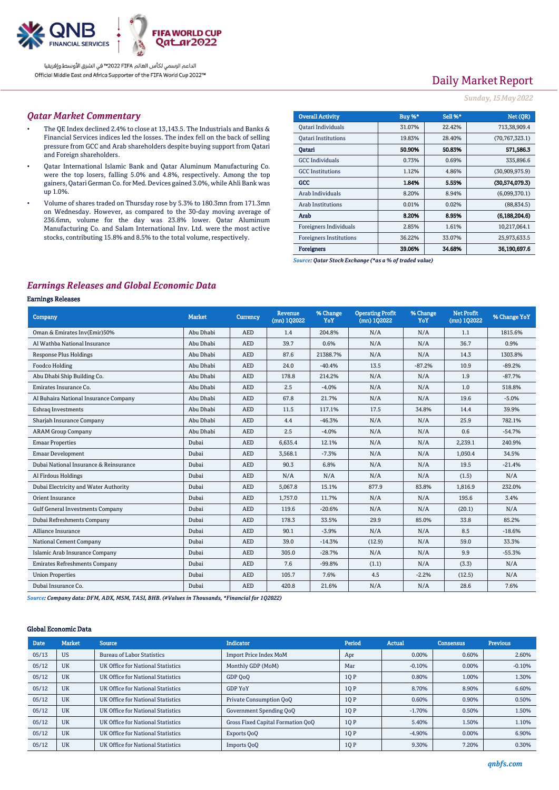

# Daily Market Report

#### *Sunday, 15May 2022*

#### *Qatar Market Commentary*

- The QE Index declined 2.4% to close at 13,143.5. The Industrials and Banks & Financial Services indices led the losses. The index fell on the back of selling pressure from GCC and Arab shareholders despite buying support from Qatari and Foreign shareholders.
- Qatar International Islamic Bank and Qatar Aluminum Manufacturing Co. were the top losers, falling 5.0% and 4.8%, respectively. Among the top gainers, Qatari German Co. for Med. Devices gained 3.0%, while Ahli Bank was up 1.0%.
- Volume of shares traded on Thursday rose by 5.3% to 180.3mn from 171.3mn on Wednesday. However, as compared to the 30-day moving average of 236.6mn, volume for the day was 23.8% lower. Qatar Aluminum Manufacturing Co. and Salam International Inv. Ltd. were the most active stocks, contributing 15.8% and 8.5% to the total volume, respectively.

| <b>Overall Activity</b>        | Buy %* | Sell %* | Net (OR)         |
|--------------------------------|--------|---------|------------------|
| Qatari Individuals             | 31.07% | 22.42%  | 713,38,909.4     |
| <b>Oatari Institutions</b>     | 19.83% | 28.40%  | (70, 767, 323.1) |
| Oatari                         | 50.90% | 50.83%  | 571,586.3        |
| <b>GCC</b> Individuals         | 0.73%  | 0.69%   | 335,896.6        |
| <b>GCC</b> Institutions        | 1.12%  | 4.86%   | (30,909,975.9)   |
| GCC                            | 1.84%  | 5.55%   | (30.574.079.3)   |
| Arab Individuals               | 8.20%  | 8.94%   | (6,099,370.1)    |
| <b>Arab Institutions</b>       | 0.01%  | 0.02%   | (88, 834.5)      |
| Arab                           | 8.20%  | 8.95%   | (6,188,204.6)    |
| Foreigners Individuals         | 2.85%  | 1.61%   | 10,217,064.1     |
| <b>Foreigners Institutions</b> | 36.22% | 33.07%  | 25,973,633.5     |
| <b>Foreigners</b>              | 39.06% | 34.68%  | 36,190,697.6     |

*Source: Qatar Stock Exchange (\*as a % of traded value)*

## *Earnings Releases and Global Economic Data*

#### Earnings Releases

| Company                                 | <b>Market</b> | <b>Currency</b> | <b>Revenue</b><br>(mn) 1Q2022 | % Change<br>YoY | <b>Operating Profit</b><br>$(mn)$ 102022 | % Change<br>YoY | <b>Net Profit</b><br>(mn) 1Q2022 | % Change YoY |
|-----------------------------------------|---------------|-----------------|-------------------------------|-----------------|------------------------------------------|-----------------|----------------------------------|--------------|
| Oman & Emirates Inv(Emir)50%            | Abu Dhabi     | AED             | 1.4                           | 204.8%          | N/A                                      | N/A             | 1.1                              | 1815.6%      |
| Al Wathba National Insurance            | Abu Dhabi     | <b>AED</b>      | 39.7                          | 0.6%            | N/A                                      | N/A             | 36.7                             | 0.9%         |
| <b>Response Plus Holdings</b>           | Abu Dhabi     | <b>AED</b>      | 87.6                          | 21388.7%        | N/A                                      | N/A             | 14.3                             | 1303.8%      |
| Foodco Holding                          | Abu Dhabi     | <b>AED</b>      | 24.0                          | $-40.4%$        | 13.5                                     | $-87.2%$        | 10.9                             | $-89.2%$     |
| Abu Dhabi Ship Building Co.             | Abu Dhabi     | <b>AED</b>      | 178.8                         | 214.2%          | N/A                                      | N/A             | 1.9                              | $-87.7%$     |
| Emirates Insurance Co.                  | Abu Dhabi     | <b>AED</b>      | 2.5                           | $-4.0%$         | N/A                                      | N/A             | 1.0                              | 518.8%       |
| Al Buhaira National Insurance Company   | Abu Dhabi     | <b>AED</b>      | 67.8                          | 21.7%           | N/A                                      | N/A             | 19.6                             | $-5.0%$      |
| Eshraq Investments                      | Abu Dhabi     | <b>AED</b>      | 11.5                          | 117.1%          | 17.5                                     | 34.8%           | 14.4                             | 39.9%        |
| Sharjah Insurance Company               | Abu Dhabi     | <b>AED</b>      | 4.4                           | $-46.3%$        | N/A                                      | N/A             | 25.9                             | 782.1%       |
| <b>ARAM Group Company</b>               | Abu Dhabi     | <b>AED</b>      | 2.5                           | $-4.0%$         | N/A                                      | N/A             | 0.6                              | $-54.7%$     |
| <b>Emaar Properties</b>                 | Dubai         | <b>AED</b>      | 6.635.4                       | 12.1%           | N/A                                      | N/A             | 2,239.1                          | 240.9%       |
| <b>Emaar Development</b>                | Dubai         | <b>AED</b>      | 3,568.1                       | $-7.3%$         | N/A                                      | N/A             | 1,050.4                          | 34.5%        |
| Dubai National Insurance & Reinsurance  | Dubai         | <b>AED</b>      | 90.3                          | 6.8%            | N/A                                      | N/A             | 19.5                             | $-21.4%$     |
| Al Firdous Holdings                     | Dubai         | <b>AED</b>      | N/A                           | N/A             | N/A                                      | N/A             | (1.5)                            | N/A          |
| Dubai Electricity and Water Authority   | Dubai         | <b>AED</b>      | 5,067.8                       | 15.1%           | 877.9                                    | 83.8%           | 1,816.9                          | 232.0%       |
| Orient Insurance                        | Dubai         | <b>AED</b>      | 1,757.0                       | 11.7%           | N/A                                      | N/A             | 195.6                            | 3.4%         |
| <b>Gulf General Investments Company</b> | Dubai         | <b>AED</b>      | 119.6                         | $-20.6%$        | N/A                                      | N/A             | (20.1)                           | N/A          |
| Dubai Refreshments Company              | Dubai         | <b>AED</b>      | 178.3                         | 33.5%           | 29.9                                     | 85.0%           | 33.8                             | 85.2%        |
| Alliance Insurance                      | Dubai         | <b>AED</b>      | 90.1                          | $-3.9%$         | N/A                                      | N/A             | 8.5                              | $-18.6%$     |
| National Cement Company                 | Dubai         | <b>AED</b>      | 39.0                          | $-14.3%$        | (12.9)                                   | N/A             | 59.0                             | 33.3%        |
| Islamic Arab Insurance Company          | Dubai         | <b>AED</b>      | 305.0                         | $-28.7%$        | N/A                                      | N/A             | 9.9                              | $-55.3%$     |
| <b>Emirates Refreshments Company</b>    | Dubai         | <b>AED</b>      | 7.6                           | $-99.8%$        | (1.1)                                    | N/A             | (3.3)                            | N/A          |
| <b>Union Properties</b>                 | Dubai         | <b>AED</b>      | 105.7                         | 7.6%            | 4.5                                      | $-2.2%$         | (12.5)                           | N/A          |
| Dubai Insurance Co.                     | Dubai         | <b>AED</b>      | 420.8                         | 21.6%           | N/A                                      | N/A             | 28.6                             | 7.6%         |

*Source: Company data: DFM, ADX, MSM, TASI, BHB. (#Values in Thousands, \*Financial for 1Q2022)*

#### Global Economic Data

| Date  | <b>Market</b> | <b>Source</b>                     | <b>Indicator</b>                  | Period | <b>Actual</b> | <b>Consensus</b> | <b>Previous</b> |
|-------|---------------|-----------------------------------|-----------------------------------|--------|---------------|------------------|-----------------|
| 05/13 | <b>US</b>     | <b>Bureau of Labor Statistics</b> | <b>Import Price Index MoM</b>     | Apr    | 0.00%         | 0.60%            | 2.60%           |
| 05/12 | <b>UK</b>     | UK Office for National Statistics | Monthly GDP (MoM)                 | Mar    | $-0.10%$      | 0.00%            | $-0.10%$        |
| 05/12 | <b>UK</b>     | UK Office for National Statistics | GDP 0o0                           | 10 P   | 0.80%         | 1.00%            | 1.30%           |
| 05/12 | <b>UK</b>     | UK Office for National Statistics | <b>GDP YoY</b>                    | 1QP    | 8.70%         | 8.90%            | 6.60%           |
| 05/12 | <b>UK</b>     | UK Office for National Statistics | Private Consumption QoQ           | 1QP    | 0.60%         | 0.90%            | 0.50%           |
| 05/12 | <b>UK</b>     | UK Office for National Statistics | Government Spending QoQ           | 10 P   | $-1.70%$      | 0.50%            | 1.50%           |
| 05/12 | <b>UK</b>     | UK Office for National Statistics | Gross Fixed Capital Formation QoQ | 1QP    | 5.40%         | 1.50%            | 1.10%           |
| 05/12 | <b>UK</b>     | UK Office for National Statistics | Exports OoO                       | 1QP    | $-4.90%$      | 0.00%            | 6.90%           |
| 05/12 | <b>UK</b>     | UK Office for National Statistics | Imports OoO                       | 1QP    | 9.30%         | 7.20%            | 0.30%           |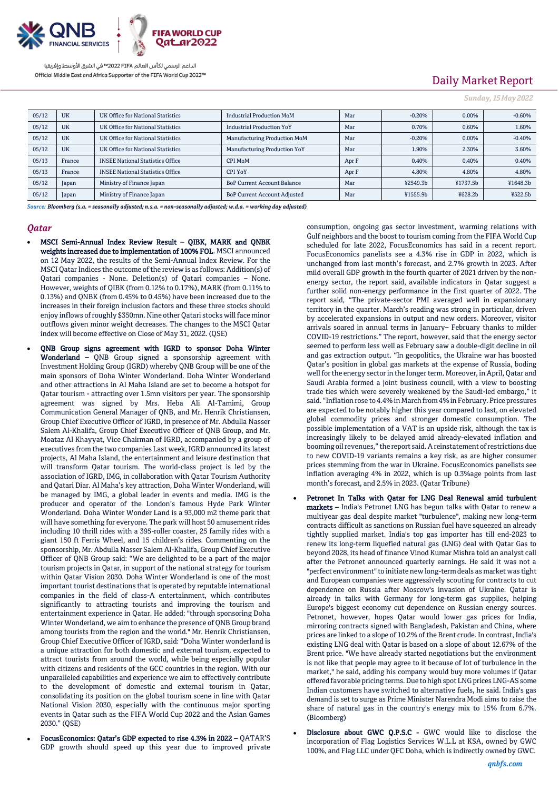

# Daily Market Report

*Sunday, 15May 2022*

| 05/12 | <b>UK</b> | UK Office for National Statistics       | <b>Industrial Production MoM</b>    | Mar   | $-0.20%$ | 0.00%    | $-0.60%$ |
|-------|-----------|-----------------------------------------|-------------------------------------|-------|----------|----------|----------|
| 05/12 | <b>UK</b> | UK Office for National Statistics       | <b>Industrial Production YoY</b>    | Mar   | 0.70%    | 0.60%    | 1.60%    |
| 05/12 | <b>UK</b> | UK Office for National Statistics       | Manufacturing Production MoM        | Mar   | $-0.20%$ | 0.00%    | $-0.40%$ |
| 05/12 | <b>UK</b> | UK Office for National Statistics       | Manufacturing Production YoY        | Mar   | L.90%    | 2.30%    | 3.60%    |
| 05/13 | France    | <b>INSEE National Statistics Office</b> | CPI MoM                             | Apr F | 0.40%    | 0.40%    | 0.40%    |
| 05/13 | France    | <b>INSEE National Statistics Office</b> | CPI YoY                             | Apr F | 4.80%    | 4.80%    | 4.80%    |
| 05/12 | Japan     | Ministry of Finance Japan               | <b>BoP Current Account Balance</b>  | Mar   | ¥2549.3b | ¥1737.5b | ¥1648.3b |
| 05/12 | Japan     | Ministry of Finance Japan               | <b>BoP Current Account Adjusted</b> | Mar   | ¥1555.9b | ¥628.2b  | ¥522.5b  |

*Source: Bloomberg (s.a. = seasonally adjusted; n.s.a. = non-seasonally adjusted; w.d.a. = working day adjusted)*

#### *Qatar*

- MSCI Semi-Annual Index Review Result QIBK, MARK and QNBK weights increased due to implementation of 100% FOL. MSCI announced on 12 May 2022, the results of the Semi-Annual Index Review. For the MSCI Qatar Indices the outcome of the review is as follows: Addition(s) of Qatari companies - None. Deletion(s) of Qatari companies – None. However, weights of QIBK (from 0.12% to 0.17%), MARK (from 0.11% to 0.13%) and QNBK (from 0.45% to 0.45%) have been increased due to the increases in their foreign inclusion factors and these three stocks should enjoy inflows of roughly \$350mn. Nine other Qatari stocks will face minor outflows given minor weight decreases. The changes to the MSCI Qatar index will become effective on Close of May 31, 2022. (QSE)
- QNB Group signs agreement with IGRD to sponsor Doha Winter Wonderland – QNB Group signed a sponsorship agreement with Investment Holding Group (IGRD) whereby QNB Group will be one of the main sponsors of Doha Winter Wonderland. Doha Winter Wonderland and other attractions in Al Maha Island are set to become a hotspot for Qatar tourism - attracting over 1.5mn visitors per year. The sponsorship agreement was signed by Mrs. Heba Ali Al-Tamimi, Group Communication General Manager of QNB, and Mr. Henrik Christiansen, Group Chief Executive Officer of IGRD, in presence of Mr. Abdulla Nasser Salem Al-Khalifa, Group Chief Executive Officer of QNB Group, and Mr. Moataz Al Khayyat, Vice Chairman of IGRD, accompanied by a group of executives from the two companies Last week, IGRD announced its latest projects, Al Maha Island, the entertainment and leisure destination that will transform Qatar tourism. The world-class project is led by the association of IGRD, IMG, in collaboration with Qatar Tourism Authority and Qatari Diar. Al Maha's key attraction, Doha Winter Wonderland, will be managed by IMG, a global leader in events and media. IMG is the producer and operator of the London's famous Hyde Park Winter Wonderland. Doha Winter Wonder Land is a 93,000 m2 theme park that will have something for everyone. The park will host 50 amusement rides including 10 thrill rides with a 395-roller coaster, 25 family rides with a giant 150 ft Ferris Wheel, and 15 children's rides. Commenting on the sponsorship, Mr. Abdulla Nasser Salem Al-Khalifa, Group Chief Executive Officer of QNB Group said: "We are delighted to be a part of the major tourism projects in Qatar, in support of the national strategy for tourism within Qatar Vision 2030. Doha Winter Wonderland is one of the most important tourist destinations that is operated by reputable international companies in the field of class-A entertainment, which contributes significantly to attracting tourists and improving the tourism and entertainment experience in Qatar. He added: "through sponsoring Doha Winter Wonderland, we aim to enhance the presence of QNB Group brand among tourists from the region and the world." Mr. Henrik Christiansen, Group Chief Executive Officer of IGRD, said: "Doha Winter wonderland is a unique attraction for both domestic and external tourism, expected to attract tourists from around the world, while being especially popular with citizens and residents of the GCC countries in the region. With our unparalleled capabilities and experience we aim to effectively contribute to the development of domestic and external tourism in Qatar, consolidating its position on the global tourism scene in line with Qatar National Vision 2030, especially with the continuous major sporting events in Qatar such as the FIFA World Cup 2022 and the Asian Games 2030." (QSE)
- FocusEconomics: Qatar's GDP expected to rise 4.3% in 2022 QATAR'S GDP growth should speed up this year due to improved private

consumption, ongoing gas sector investment, warming relations with Gulf neighbors and the boost to tourism coming from the FIFA World Cup scheduled for late 2022, FocusEconomics has said in a recent report. FocusEconomics panelists see a 4.3% rise in GDP in 2022, which is unchanged from last month's forecast, and 2.7% growth in 2023. After mild overall GDP growth in the fourth quarter of 2021 driven by the nonenergy sector, the report said, available indicators in Qatar suggest a further solid non-energy performance in the first quarter of 2022. The report said, "The private-sector PMI averaged well in expansionary territory in the quarter. March's reading was strong in particular, driven by accelerated expansions in output and new orders. Moreover, visitor arrivals soared in annual terms in January– February thanks to milder COVID-19 restrictions." The report, however, said that the energy sector seemed to perform less well as February saw a double-digit decline in oil and gas extraction output. "In geopolitics, the Ukraine war has boosted Qatar's position in global gas markets at the expense of Russia, boding well for the energy sector in the longer term. Moreover, in April, Qatar and Saudi Arabia formed a joint business council, with a view to boosting trade ties which were severely weakened by the Saudi-led embargo," it said. "Inflation rose to 4.4% in March from 4% in February. Price pressures are expected to be notably higher this year compared to last, on elevated global commodity prices and stronger domestic consumption. The possible implementation of a VAT is an upside risk, although the tax is increasingly likely to be delayed amid already-elevated inflation and booming oil revenues," the report said. A reinstatement of restrictions due to new COVID-19 variants remains a key risk, as are higher consumer prices stemming from the war in Ukraine. FocusEconomics panelists see inflation averaging 4% in 2022, which is up 0.3%age points from last month's forecast, and 2.5% in 2023. (Qatar Tribune)

- Petronet In Talks with Qatar for LNG Deal Renewal amid turbulent markets – India's Petronet LNG has begun talks with Qatar to renew a multiyear gas deal despite market "turbulence", making new long-term contracts difficult as sanctions on Russian fuel have squeezed an already tightly supplied market. India's top gas importer has till end-2023 to renew its long-term liquefied natural gas (LNG) deal with Qatar Gas to beyond 2028, its head of finance Vinod Kumar Mishra told an analyst call after the Petronet announced quarterly earnings. He said it was not a "perfect environment" to initiate new long-term deals as market was tight and European companies were aggressively scouting for contracts to cut dependence on Russia after Moscow's invasion of Ukraine. Qatar is already in talks with Germany for long-term gas supplies, helping Europe's biggest economy cut dependence on Russian energy sources. Petronet, however, hopes Qatar would lower gas prices for India, mirroring contracts signed with Bangladesh, Pakistan and China, where prices are linked to a slope of 10.2% of the Brent crude. In contrast, India's existing LNG deal with Qatar is based on a slope of about 12.67% of the Brent price. "We have already started negotiations but the environment is not like that people may agree to it because of lot of turbulence in the market," he said, adding his company would buy more volumes if Qatar offered favorable pricing terms. Due to high spot LNG prices LNG-AS some Indian customers have switched to alternative fuels, he said. India's gas demand is set to surge as Prime Minister Narendra Modi aims to raise the share of natural gas in the country's energy mix to 15% from 6.7%. (Bloomberg)
- Disclosure about GWC Q.P.S.C GWC would like to disclose the incorporation of Flag Logistics Services W.L.L at KSA, owned by GWC 100%, and Flag LLC under QFC Doha, which is indirectly owned by GWC.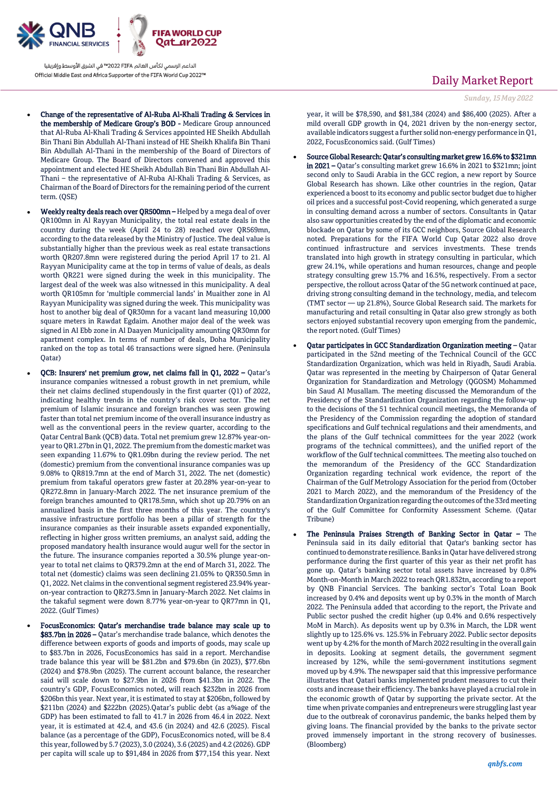

- Change of the representative of Al-Ruba Al-Khali Trading & Services in the membership of Medicare Group's BOD - Medicare Group announced that Al-Ruba Al-Khali Trading & Services appointed HE Sheikh Abdullah Bin Thani Bin Abdullah Al-Thani instead of HE Sheikh Khalifa Bin Thani Bin Abdullah Al-Thani in the membership of the Board of Directors of Medicare Group. The Board of Directors convened and approved this appointment and elected HE Sheikh Abdullah Bin Thani Bin Abdullah Al-Thani – the representative of Al-Ruba Al-Khali Trading & Services, as Chairman of the Board of Directors for the remaining period of the current term. (QSE)
- Weekly realty deals reach over QR500mn Helped by a mega deal of over QR100mn in Al Rayyan Municipality, the total real estate deals in the country during the week (April 24 to 28) reached over QR569mn, according to the data released by the Ministry of Justice. The deal value is substantially higher than the previous week as real estate transactions worth QR207.8mn were registered during the period April 17 to 21. Al Rayyan Municipality came at the top in terms of value of deals, as deals worth QR221 were signed during the week in this municipality. The largest deal of the week was also witnessed in this municipality. A deal worth QR105mn for 'multiple commercial lands' in Muaither zone in Al Rayyan Municipality was signed during the week. This municipality was host to another big deal of QR30mn for a vacant land measuring 10,000 square meters in Rawdat Egdaim. Another major deal of the week was signed in Al Ebb zone in Al Daayen Municipality amounting QR30mn for apartment complex. In terms of number of deals, Doha Municipality ranked on the top as total 46 transactions were signed here. (Peninsula Qatar)
- QCB: Insurers' net premium grow, net claims fall in Q1, 2022 Qatar's insurance companies witnessed a robust growth in net premium, while their net claims declined stupendously in the first quarter (Q1) of 2022, indicating healthy trends in the country's risk cover sector. The net premium of Islamic insurance and foreign branches was seen growing faster than total net premium income of the overall insurance industry as well as the conventional peers in the review quarter, according to the Qatar Central Bank (QCB) data. Total net premium grew 12.87% year-onyear to QR1.27bn in Q1, 2022. The premium from the domestic market was seen expanding 11.67% to QR1.09bn during the review period. The net (domestic) premium from the conventional insurance companies was up 9.08% to QR819.7mn at the end of March 31, 2022. The net (domestic) premium from takaful operators grew faster at 20.28% year-on-year to QR272.8mn in January-March 2022. The net insurance premium of the foreign branches amounted to QR178.5mn, which shot up 20.79% on an annualized basis in the first three months of this year. The country's massive infrastructure portfolio has been a pillar of strength for the insurance companies as their insurable assets expanded exponentially, reflecting in higher gross written premiums, an analyst said, adding the proposed mandatory health insurance would augur well for the sector in the future. The insurance companies reported a 30.5% plunge year-onyear to total net claims to QR379.2mn at the end of March 31, 2022. The total net (domestic) claims was seen declining 21.05% to QR350.5mn in Q1, 2022. Net claims in the conventional segment registered 23.94% yearon-year contraction to QR273.5mn in January-March 2022. Net claims in the takaful segment were down 8.77% year-on-year to QR77mn in Q1, 2022. (Gulf Times)
- FocusEconomics: Qatar's merchandise trade balance may scale up to \$83.7bn in 2026 – Qatar's merchandise trade balance, which denotes the difference between exports of goods and imports of goods, may scale up to \$83.7bn in 2026, FocusEconomics has said in a report. Merchandise trade balance this year will be \$81.2bn and \$79.6bn (in 2023), \$77.6bn (2024) and \$78.9bn (2025). The current account balance, the researcher said will scale down to \$27.9bn in 2026 from \$41.3bn in 2022. The country's GDP, FocusEconomics noted, will reach \$232bn in 2026 from \$206bn this year. Next year, it is estimated to stay at \$206bn, followed by \$211bn (2024) and \$222bn (2025).Qatar's public debt (as a%age of the GDP) has been estimated to fall to 41.7 in 2026 from 46.4 in 2022. Next year, it is estimated at 42.4, and 43.6 (in 2024) and 42.6 (2025). Fiscal balance (as a percentage of the GDP), FocusEconomics noted, will be 8.4 this year, followed by 5.7 (2023), 3.0 (2024), 3.6 (2025) and 4.2 (2026). GDP per capita will scale up to \$91,484 in 2026 from \$77,154 this year. Next

## Daily Market Report

*Sunday, 15May 2022*

year, it will be \$78,590, and \$81,384 (2024) and \$86,400 (2025). After a mild overall GDP growth in Q4, 2021 driven by the non-energy sector, available indicators suggest a further solid non-energy performance in Q1, 2022, FocusEconomics said. (Gulf Times)

- Source Global Research: Qatar's consulting market grew 16.6% to \$321mn in 2021 – Qatar's consulting market grew 16.6% in 2021 to \$321mn; joint second only to Saudi Arabia in the GCC region, a new report by Source Global Research has shown. Like other countries in the region, Qatar experienced a boost to its economy and public sector budget due to higher oil prices and a successful post-Covid reopening, which generated a surge in consulting demand across a number of sectors. Consultants in Qatar also saw opportunities created by the end of the diplomatic and economic blockade on Qatar by some of its GCC neighbors, Source Global Research noted. Preparations for the FIFA World Cup Qatar 2022 also drove continued infrastructure and services investments. These trends translated into high growth in strategy consulting in particular, which grew 24.1%, while operations and human resources, change and people strategy consulting grew 15.7% and 16.5%, respectively. From a sector perspective, the rollout across Qatar of the 5G network continued at pace, driving strong consulting demand in the technology, media, and telecom (TMT sector — up 21.8%), Source Global Research said. The markets for manufacturing and retail consulting in Qatar also grew strongly as both sectors enjoyed substantial recovery upon emerging from the pandemic, the report noted. (Gulf Times)
- Qatar participates in GCC Standardization Organization meeting Qatar participated in the 52nd meeting of the Technical Council of the GCC Standardization Organization, which was held in Riyadh, Saudi Arabia. Qatar was represented in the meeting by Chairperson of Qatar General Organization for Standardization and Metrology (QGOSM) Mohammed bin Saud Al Musallam. The meeting discussed the Memorandum of the Presidency of the Standardization Organization regarding the follow-up to the decisions of the 51 technical council meetings, the Memoranda of the Presidency of the Commission regarding the adoption of standard specifications and Gulf technical regulations and their amendments, and the plans of the Gulf technical committees for the year 2022 (work programs of the technical committees), and the unified report of the workflow of the Gulf technical committees. The meeting also touched on the memorandum of the Presidency of the GCC Standardization Organization regarding technical work evidence, the report of the Chairman of the Gulf Metrology Association for the period from (October 2021 to March 2022), and the memorandum of the Presidency of the Standardization Organization regarding the outcomes of the 33rd meeting of the Gulf Committee for Conformity Assessment Scheme. (Qatar Tribune)
- The Peninsula Praises Strength of Banking Sector in Qatar The Peninsula said in its daily editorial that Qatar's banking sector has continued to demonstrate resilience. Banks in Qatar have delivered strong performance during the first quarter of this year as their net profit has gone up. Qatar's banking sector total assets have increased by 0.8% Month-on-Month in March 2022 to reach QR1.832tn, according to a report by QNB Financial Services. The banking sector's Total Loan Book increased by 0.4% and deposits went up by 0.3% in the month of March 2022. The Peninsula added that according to the report, the Private and Public sector pushed the credit higher (up 0.4% and 0.6% respectively MoM in March). As deposits went up by 0.3% in March, the LDR went slightly up to 125.6% vs. 125.5% in February 2022. Public sector deposits went up by 4.2% for the month of March 2022 resulting in the overall gain in deposits. Looking at segment details, the government segment increased by 12%, while the semi-government institutions segment moved up by 4.9%. The newspaper said that this impressive performance illustrates that Qatari banks implemented prudent measures to cut their costs and increase their efficiency. The banks have played a crucial role in the economic growth of Qatar by supporting the private sector. At the time when private companies and entrepreneurs were struggling last year due to the outbreak of coronavirus pandemic, the banks helped them by giving loans. The financial provided by the banks to the private sector proved immensely important in the strong recovery of businesses. (Bloomberg)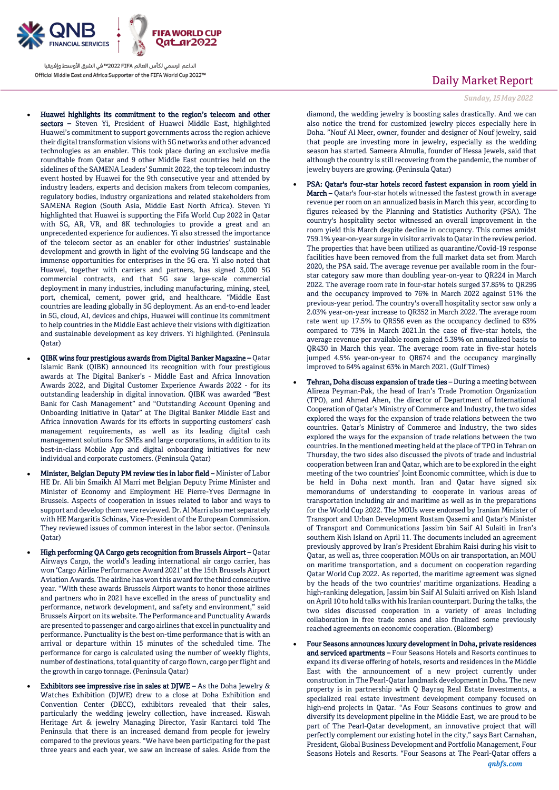

- Huawei highlights its commitment to the region's telecom and other sectors – Steven Yi, President of Huawei Middle East, highlighted Huawei's commitment to support governments across the region achieve their digital transformation visions with 5G networks and other advanced technologies as an enabler. This took place during an exclusive media roundtable from Qatar and 9 other Middle East countries held on the sidelines of the SAMENA Leaders' Summit 2022, the top telecom industry event hosted by Huawei for the 9th consecutive year and attended by industry leaders, experts and decision makers from telecom companies, regulatory bodies, industry organizations and related stakeholders from SAMENA Region (South Asia, Middle East North Africa). Steven Yi highlighted that Huawei is supporting the Fifa World Cup 2022 in Qatar with 5G, AR, VR, and 8K technologies to provide a great and an unprecedented experience for audiences. Yi also stressed the importance of the telecom sector as an enabler for other industries' sustainable development and growth in light of the evolving 5G landscape and the immense opportunities for enterprises in the 5G era. Yi also noted that Huawei, together with carriers and partners, has signed 3,000 5G commercial contracts, and that 5G saw large-scale commercial deployment in many industries, including manufacturing, mining, steel, port, chemical, cement, power grid, and healthcare. "Middle East countries are leading globally in 5G deployment. As an end-to-end leader in 5G, cloud, AI, devices and chips, Huawei will continue its commitment to help countries in the Middle East achieve their visions with digitization and sustainable development as key drivers. Yi highlighted. (Peninsula Qatar)
- QIBK wins four prestigious awards from Digital Banker Magazine Qatar Islamic Bank (QIBK) announced its recognition with four prestigious awards at The Digital Banker's - Middle East and Africa Innovation Awards 2022, and Digital Customer Experience Awards 2022 - for its outstanding leadership in digital innovation. QIBK was awarded "Best Bank for Cash Management" and "Outstanding Account Opening and Onboarding Initiative in Qatar" at The Digital Banker Middle East and Africa Innovation Awards for its efforts in supporting customers' cash management requirements, as well as its leading digital cash management solutions for SMEs and large corporations, in addition to its best-in-class Mobile App and digital onboarding initiatives for new individual and corporate customers. (Peninsula Qatar)
- Minister, Belgian Deputy PM review ties in labor field Minister of Labor HE Dr. Ali bin Smaikh Al Marri met Belgian Deputy Prime Minister and Minister of Economy and Employment HE Pierre-Yves Dermagne in Brussels. Aspects of cooperation in issues related to labor and ways to support and develop them were reviewed. Dr. Al Marri also met separately with HE Margaritis Schinas, Vice-President of the European Commission. They reviewed issues of common interest in the labor sector. (Peninsula Qatar)
- High performing QA Cargo gets recognition from Brussels Airport Qatar Airways Cargo, the world's leading international air cargo carrier, has won 'Cargo Airline Performance Award 2021' at the 15th Brussels Airport Aviation Awards. The airline has won this award for the third consecutive year. "With these awards Brussels Airport wants to honor those airlines and partners who in 2021 have excelled in the areas of punctuality and performance, network development, and safety and environment," said Brussels Airport on its website. The Performance and Punctuality Awards are presented to passenger and cargo airlines that excel in punctuality and performance. Punctuality is the best on-time performance that is with an arrival or departure within 15 minutes of the scheduled time. The performance for cargo is calculated using the number of weekly flights, number of destinations, total quantity of cargo flown, cargo per flight and the growth in cargo tonnage. (Peninsula Qatar)
- **Exhibitors see impressive rise in sales at DJWE –** As the Doha Jewelry  $\&$ Watches Exhibition (DJWE) drew to a close at Doha Exhibition and Convention Center (DECC), exhibitors revealed that their sales, particularly the wedding jewelry collection, have increased. Kiswah Heritage Art & jewelry Managing Director, Yasir Kantarci told The Peninsula that there is an increased demand from people for jewelry compared to the previous years. "We have been participating for the past three years and each year, we saw an increase of sales. Aside from the

# Daily Market Report

*Sunday, 15May 2022*

diamond, the wedding jewelry is boosting sales drastically. And we can also notice the trend for customized jewelry pieces especially here in Doha. "Nouf Al Meer, owner, founder and designer of Nouf jewelry, said that people are investing more in jewelry, especially as the wedding season has started. Sameera Almulla, founder of Hessa Jewels, said that although the country is still recovering from the pandemic, the number of jewelry buyers are growing. (Peninsula Qatar)

- PSA: Qatar's four-star hotels record fastest expansion in room yield in March – Qatar's four-star hotels witnessed the fastest growth in average revenue per room on an annualized basis in March this year, according to figures released by the Planning and Statistics Authority (PSA). The country's hospitality sector witnessed an overall improvement in the room yield this March despite decline in occupancy. This comes amidst 759.1% year-on-year surge in visitor arrivals to Qatar in the review period. The properties that have been utilized as quarantine/Covid-19 response facilities have been removed from the full market data set from March 2020, the PSA said. The average revenue per available room in the fourstar category saw more than doubling year-on-year to QR224 in March 2022. The average room rate in four-star hotels surged 37.85% to QR295 and the occupancy improved to 76% in March 2022 against 51% the previous-year period. The country's overall hospitality sector saw only a 2.03% year-on-year increase to QR352 in March 2022. The average room rate went up 17.5% to QR556 even as the occupancy declined to 63% compared to 73% in March 2021.In the case of five-star hotels, the average revenue per available room gained 5.39% on annualized basis to QR430 in March this year. The average room rate in five-star hotels jumped 4.5% year-on-year to QR674 and the occupancy marginally improved to 64% against 63% in March 2021. (Gulf Times)
- Tehran, Doha discuss expansion of trade ties During a meeting between Alireza Peyman-Pak, the head of Iran's Trade Promotion Organization (TPO), and Ahmed Ahen, the director of Department of International Cooperation of Qatar's Ministry of Commerce and Industry, the two sides explored the ways for the expansion of trade relations between the two countries. Qatar's Ministry of Commerce and Industry, the two sides explored the ways for the expansion of trade relations between the two countries. In the mentioned meeting held at the place of TPO in Tehran on Thursday, the two sides also discussed the pivots of trade and industrial cooperation between Iran and Qatar, which are to be explored in the eight meeting of the two countries' Joint Economic committee, which is due to be held in Doha next month. Iran and Qatar have signed six memorandums of understanding to cooperate in various areas of transportation including air and maritime as well as in the preparations for the World Cup 2022. The MOUs were endorsed by Iranian Minister of Transport and Urban Development Rostam Qasemi and Qatar's Minister of Transport and Communications Jassim bin Saif Al Sulaiti in Iran's southern Kish Island on April 11. The documents included an agreement previously approved by Iran's President Ebrahim Raisi during his visit to Qatar, as well as, three cooperation MOUs on air transportation, an MOU on maritime transportation, and a document on cooperation regarding Qatar World Cup 2022. As reported, the maritime agreement was signed by the heads of the two countries' maritime organizations. Heading a high-ranking delegation, Jassim bin Saif Al Sulaiti arrived on Kish Island on April 10 to hold talks with his Iranian counterpart. During the talks, the two sides discussed cooperation in a variety of areas including collaboration in free trade zones and also finalized some previously reached agreements on economic cooperation. (Bloomberg)
- Four Seasons announces luxury development in Doha, private residences and serviced apartments – Four Seasons Hotels and Resorts continues to expand its diverse offering of hotels, resorts and residences in the Middle East with the announcement of a new project currently under construction in The Pearl-Qatar landmark development in Doha. The new property is in partnership with Q Bayraq Real Estate Investments, a specialized real estate investment development company focused on high-end projects in Qatar. "As Four Seasons continues to grow and diversify its development pipeline in the Middle East, we are proud to be part of The Pearl-Qatar development, an innovative project that will perfectly complement our existing hotel in the city," says Bart Carnahan, President, Global Business Development and Portfolio Management, Four Seasons Hotels and Resorts. "Four Seasons at The Pearl-Qatar offers a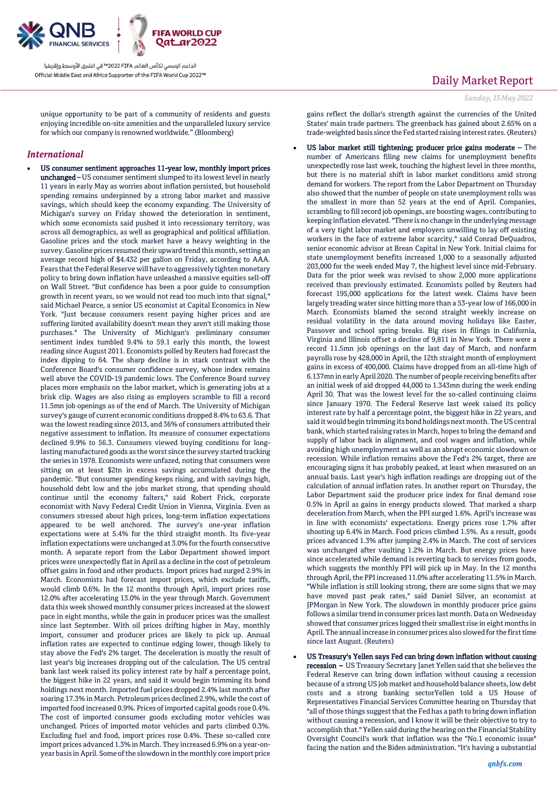

unique opportunity to be part of a community of residents and guests enjoying incredible on-site amenities and the unparalleled luxury service for which our company is renowned worldwide." (Bloomberg)

## *International*

 US consumer sentiment approaches 11-year low, monthly import prices unchanged – US consumer sentiment slumped to its lowest level in nearly 11 years in early May as worries about inflation persisted, but household spending remains underpinned by a strong labor market and massive savings, which should keep the economy expanding. The University of Michigan's survey on Friday showed the deterioration in sentiment, which some economists said pushed it into recessionary territory, was across all demographics, as well as geographical and political affiliation. Gasoline prices and the stock market have a heavy weighting in the survey. Gasoline prices resumed their upward trend this month, setting an average record high of \$4.432 per gallon on Friday, according to AAA. Fears that the Federal Reserve will have to aggressively tighten monetary policy to bring down inflation have unleashed a massive equities sell-off on Wall Street. "But confidence has been a poor guide to consumption growth in recent years, so we would not read too much into that signal," said Michael Pearce, a senior US economist at Capital Economics in New York. "Just because consumers resent paying higher prices and are suffering limited availability doesn't mean they aren't still making those purchases." The University of Michigan's preliminary consumer sentiment index tumbled 9.4% to 59.1 early this month, the lowest reading since August 2011. Economists polled by Reuters had forecast the index dipping to 64. The sharp decline is in stark contrast with the Conference Board's consumer confidence survey, whose index remains well above the COVID-19 pandemic lows. The Conference Board survey places more emphasis on the labor market, which is generating jobs at a brisk clip. Wages are also rising as employers scramble to fill a record 11.5mn job openings as of the end of March. The University of Michigan survey's gauge of current economic conditions dropped 8.4% to 63.6. That was the lowest reading since 2013, and 36% of consumers attributed their negative assessment to inflation. Its measure of consumer expectations declined 9.9% to 56.3. Consumers viewed buying conditions for longlasting manufactured goods as the worst since the survey started tracking the series in 1978. Economists were unfazed, noting that consumers were sitting on at least \$2tn in excess savings accumulated during the pandemic. "But consumer spending keeps rising, and with savings high, household debt low and the jobs market strong, that spending should continue until the economy falters," said Robert Frick, corporate economist with Navy Federal Credit Union in Vienna, Virginia. Even as consumers stressed about high prices, long-term inflation expectations appeared to be well anchored. The survey's one-year inflation expectations were at 5.4% for the third straight month. Its five-year inflation expectations were unchanged at 3.0% for the fourth consecutive month. A separate report from the Labor Department showed import prices were unexpectedly flat in April as a decline in the cost of petroleum offset gains in food and other products. Import prices had surged 2.9% in March. Economists had forecast import prices, which exclude tariffs, would climb 0.6%. In the 12 months through April, import prices rose 12.0% after accelerating 13.0% in the year through March. Government data this week showed monthly consumer prices increased at the slowest pace in eight months, while the gain in producer prices was the smallest since last September. With oil prices drifting higher in May, monthly import, consumer and producer prices are likely to pick up. Annual inflation rates are expected to continue edging lower, though likely to stay above the Fed's 2% target. The deceleration is mostly the result of last year's big increases dropping out of the calculation. The US central bank last week raised its policy interest rate by half a percentage point, the biggest hike in 22 years, and said it would begin trimming its bond holdings next month. Imported fuel prices dropped 2.4% last month after soaring 17.3% in March. Petroleum prices declined 2.9%, while the cost of imported food increased 0.9%. Prices of imported capital goods rose 0.4%. The cost of imported consumer goods excluding motor vehicles was unchanged. Prices of imported motor vehicles and parts climbed 0.3%. Excluding fuel and food, import prices rose 0.4%. These so-called core import prices advanced 1.3% in March. They increased 6.9% on a year-onyear basis in April. Some of the slowdown in the monthly core import price

# Daily Market Report

#### *Sunday, 15May 2022*

gains reflect the dollar's strength against the currencies of the United States' main trade partners. The greenback has gained about 2.65% on a trade-weighted basis since the Fed started raising interest rates. (Reuters)

- US labor market still tightening; producer price gains moderate The number of Americans filing new claims for unemployment benefits unexpectedly rose last week, touching the highest level in three months, but there is no material shift in labor market conditions amid strong demand for workers. The report from the Labor Department on Thursday also showed that the number of people on state unemployment rolls was the smallest in more than 52 years at the end of April. Companies, scrambling to fill record job openings, are boosting wages, contributing to keeping inflation elevated. "There is no change in the underlying message of a very tight labor market and employers unwilling to lay off existing workers in the face of extreme labor scarcity," said Conrad DeQuadros, senior economic advisor at Brean Capital in New York. Initial claims for state unemployment benefits increased 1,000 to a seasonally adjusted 203,000 for the week ended May 7, the highest level since mid-February. Data for the prior week was revised to show 2,000 more applications received than previously estimated. Economists polled by Reuters had forecast 195,000 applications for the latest week. Claims have been largely treading water since hitting more than a 53-year low of 166,000 in March. Economists blamed the second straight weekly increase on residual volatility in the data around moving holidays like Easter, Passover and school spring breaks. Big rises in filings in California, Virginia and Illinois offset a decline of 9,811 in New York. There were a record 11.5mn job openings on the last day of March, and nonfarm payrolls rose by 428,000 in April, the 12th straight month of employment gains in excess of 400,000. Claims have dropped from an all-time high of 6.137mn in early April 2020. The number of people receiving benefits after an initial week of aid dropped 44,000 to 1.343mn during the week ending April 30. That was the lowest level for the so-called continuing claims since January 1970. The Federal Reserve last week raised its policy interest rate by half a percentage point, the biggest hike in 22 years, and said it would begin trimming its bond holdings next month. The US central bank, which started raising rates in March, hopes to bring the demand and supply of labor back in alignment, and cool wages and inflation, while avoiding high unemployment as well as an abrupt economic slowdown or recession. While inflation remains above the Fed's 2% target, there are encouraging signs it has probably peaked, at least when measured on an annual basis. Last year's high inflation readings are dropping out of the calculation of annual inflation rates. In another report on Thursday, the Labor Department said the producer price index for final demand rose 0.5% in April as gains in energy products slowed. That marked a sharp deceleration from March, when the PPI surged 1.6%. April's increase was in line with economists' expectations. Energy prices rose 1.7% after shooting up 6.4% in March. Food prices climbed 1.5%. As a result, goods prices advanced 1.3% after jumping 2.4% in March. The cost of services was unchanged after vaulting 1.2% in March. But energy prices have since accelerated while demand is reverting back to services from goods, which suggests the monthly PPI will pick up in May. In the 12 months through April, the PPI increased 11.0% after accelerating 11.5% in March. "While inflation is still looking strong, there are some signs that we may have moved past peak rates," said Daniel Silver, an economist at JPMorgan in New York. The slowdown in monthly producer price gains follows a similar trend in consumer prices last month. Data on Wednesday showed that consumer prices logged their smallest rise in eight months in April. The annual increase in consumer prices also slowed for the first time since last August. (Reuters)
- US Treasury's Yellen says Fed can bring down inflation without causing recession – US Treasury Secretary Janet Yellen said that she believes the Federal Reserve can bring down inflation without causing a recession because of a strong US job market and household balance sheets, low debt costs and a strong banking sectorYellen told a US House of Representatives Financial Services Committee hearing on Thursday that "all of those things suggest that the Fed has a path to bring down inflation without causing a recession, and I know it will be their objective to try to accomplish that." Yellen said during the hearing on the Financial Stability Oversight Council's work that inflation was the "No.1 economic issue" facing the nation and the Biden administration. "It's having a substantial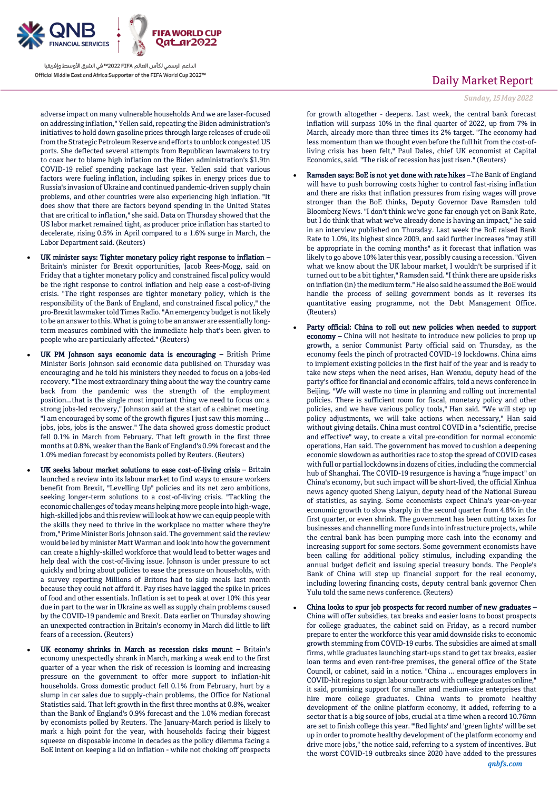

adverse impact on many vulnerable households And we are laser-focused on addressing inflation," Yellen said, repeating the Biden administration's initiatives to hold down gasoline prices through large releases of crude oil from the Strategic Petroleum Reserve and efforts to unblock congested US ports. She deflected several attempts from Republican lawmakers to try to coax her to blame high inflation on the Biden administration's \$1.9tn COVID-19 relief spending package last year. Yellen said that various factors were fueling inflation, including spikes in energy prices due to Russia's invasion of Ukraine and continued pandemic-driven supply chain problems, and other countries were also experiencing high inflation. "It does show that there are factors beyond spending in the United States that are critical to inflation," she said. Data on Thursday showed that the US labor market remained tight, as producer price inflation has started to decelerate, rising 0.5% in April compared to a 1.6% surge in March, the Labor Department said. (Reuters)

- UK minister says: Tighter monetary policy right response to inflation Britain's minister for Brexit opportunities, Jacob Rees-Mogg, said on Friday that a tighter monetary policy and constrained fiscal policy would be the right response to control inflation and help ease a cost-of-living crisis. "The right responses are tighter monetary policy, which is the responsibility of the Bank of England, and constrained fiscal policy," the pro-Brexit lawmaker told Times Radio. "An emergency budget is not likely to be an answer to this. What is going to be an answer are essentially longterm measures combined with the immediate help that's been given to people who are particularly affected." (Reuters)
- UK PM Johnson says economic data is encouraging British Prime Minister Boris Johnson said economic data published on Thursday was encouraging and he told his ministers they needed to focus on a jobs-led recovery. "The most extraordinary thing about the way the country came back from the pandemic was the strength of the employment position...that is the single most important thing we need to focus on: a strong jobs-led recovery," Johnson said at the start of a cabinet meeting. "I am encouraged by some of the growth figures I just saw this morning ... jobs, jobs, jobs is the answer." The data showed gross domestic product fell 0.1% in March from February. That left growth in the first three months at 0.8%, weaker than the Bank of England's 0.9% forecast and the 1.0% median forecast by economists polled by Reuters. (Reuters)
- UK seeks labour market solutions to ease cost-of-living crisis Britain launched a review into its labour market to find ways to ensure workers benefit from Brexit, "Levelling Up" policies and its net zero ambitions, seeking longer-term solutions to a cost-of-living crisis. "Tackling the economic challenges of today means helping more people into high-wage, high-skilled jobs and this review will look at how we can equip people with the skills they need to thrive in the workplace no matter where they're from," Prime Minister Boris Johnson said. The government said the review would be led by minister Matt Warman and look into how the government can create a highly-skilled workforce that would lead to better wages and help deal with the cost-of-living issue. Johnson is under pressure to act quickly and bring about policies to ease the pressure on households, with a survey reporting Millions of Britons had to skip meals last month because they could not afford it. Pay rises have lagged the spike in prices of food and other essentials. Inflation is set to peak at over 10% this year due in part to the war in Ukraine as well as supply chain problems caused by the COVID-19 pandemic and Brexit. Data earlier on Thursday showing an unexpected contraction in Britain's economy in March did little to lift fears of a recession. (Reuters)
- UK economy shrinks in March as recession risks mount Britain's economy unexpectedly shrank in March, marking a weak end to the first quarter of a year when the risk of recession is looming and increasing pressure on the government to offer more support to inflation-hit households. Gross domestic product fell 0.1% from February, hurt by a slump in car sales due to supply-chain problems, the Office for National Statistics said. That left growth in the first three months at 0.8%, weaker than the Bank of England's 0.9% forecast and the 1.0% median forecast by economists polled by Reuters. The January-March period is likely to mark a high point for the year, with households facing their biggest squeeze on disposable income in decades as the policy dilemma facing a BoE intent on keeping a lid on inflation - while not choking off prospects

# Daily Market Report

*Sunday, 15May 2022*

for growth altogether - deepens. Last week, the central bank forecast inflation will surpass 10% in the final quarter of 2022, up from 7% in March, already more than three times its 2% target. "The economy had less momentum than we thought even before the full hit from the cost-ofliving crisis has been felt," Paul Dales, chief UK economist at Capital Economics, said. "The risk of recession has just risen." (Reuters)

- Ramsden says: BoE is not yet done with rate hikes –The Bank of England will have to push borrowing costs higher to control fast-rising inflation and there are risks that inflation pressures from rising wages will prove stronger than the BoE thinks, Deputy Governor Dave Ramsden told Bloomberg News. "I don't think we've gone far enough yet on Bank Rate, but I do think that what we've already done is having an impact," he said in an interview published on Thursday. Last week the BoE raised Bank Rate to 1.0%, its highest since 2009, and said further increases "may still be appropriate in the coming months" as it forecast that inflation was likely to go above 10% later this year, possibly causing a recession. "Given what we know about the UK labour market, I wouldn't be surprised if it turned out to be a bit tighter," Ramsden said. "I think there are upside risks on inflation (in) the medium term." He also said he assumed the BoE would handle the process of selling government bonds as it reverses its quantitative easing programme, not the Debt Management Office. (Reuters)
- Party official: China to roll out new policies when needed to support economy – China will not hesitate to introduce new policies to prop up growth, a senior Communist Party official said on Thursday, as the economy feels the pinch of protracted COVID-19 lockdowns. China aims to implement existing policies in the first half of the year and is ready to take new steps when the need arises, Han Wenxiu, deputy head of the party's office for financial and economic affairs, told a news conference in Beijing. "We will waste no time in planning and rolling out incremental policies. There is sufficient room for fiscal, monetary policy and other policies, and we have various policy tools," Han said. "We will step up policy adjustments, we will take actions when necessary," Han said without giving details. China must control COVID in a "scientific, precise and effective" way, to create a vital pre-condition for normal economic operations, Han said. The government has moved to cushion a deepening economic slowdown as authorities race to stop the spread of COVID cases with full or partial lockdowns in dozens of cities, including the commercial hub of Shanghai. The COVID-19 resurgence is having a "huge impact" on China's economy, but such impact will be short-lived, the official Xinhua news agency quoted Sheng Laiyun, deputy head of the National Bureau of statistics, as saying. Some economists expect China's year-on-year economic growth to slow sharply in the second quarter from 4.8% in the first quarter, or even shrink. The government has been cutting taxes for businesses and channelling more funds into infrastructure projects, while the central bank has been pumping more cash into the economy and increasing support for some sectors. Some government economists have been calling for additional policy stimulus, including expanding the annual budget deficit and issuing special treasury bonds. The People's Bank of China will step up financial support for the real economy, including lowering financing costs, deputy central bank governor Chen Yulu told the same news conference. (Reuters)
- China looks to spur job prospects for record number of new graduates China will offer subsidies, tax breaks and easier loans to boost prospects for college graduates, the cabinet said on Friday, as a record number prepare to enter the workforce this year amid downside risks to economic growth stemming from COVID-19 curbs. The subsidies are aimed at small firms, while graduates launching start-ups stand to get tax breaks, easier loan terms and even rent-free premises, the general office of the State Council, or cabinet, said in a notice. "China ... encourages employers in COVID-hit regions to sign labour contracts with college graduates online," it said, promising support for smaller and medium-size enterprises that hire more college graduates. China wants to promote healthy development of the online platform economy, it added, referring to a sector that is a big source of jobs, crucial at a time when a record 10.76mn are set to finish college this year. "'Red lights' and 'green lights' will be set up in order to promote healthy development of the platform economy and drive more jobs," the notice said, referring to a system of incentives. But the worst COVID-19 outbreaks since 2020 have added to the pressures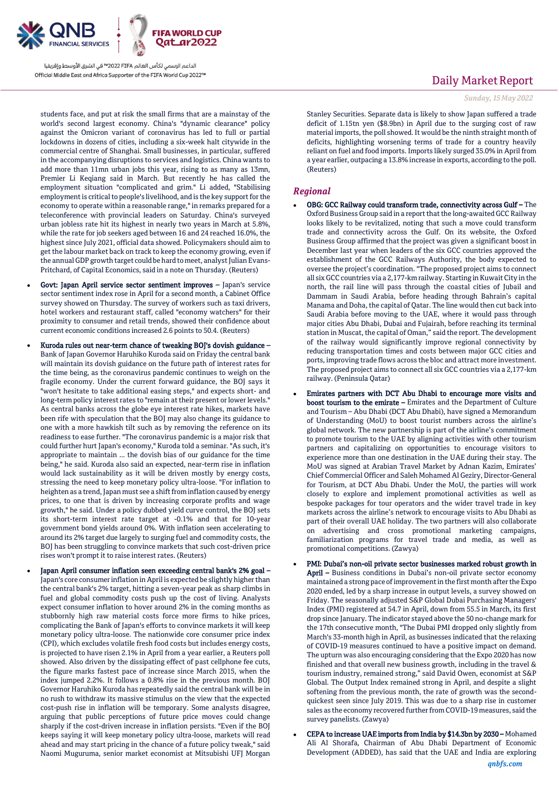

students face, and put at risk the small firms that are a mainstay of the world's second largest economy. China's "dynamic clearance" policy against the Omicron variant of coronavirus has led to full or partial lockdowns in dozens of cities, including a six-week halt citywide in the commercial centre of Shanghai. Small businesses, in particular, suffered in the accompanying disruptions to services and logistics. China wants to add more than 11mn urban jobs this year, rising to as many as 13mn, Premier Li Keqiang said in March. But recently he has called the employment situation "complicated and grim." Li added, "Stabilising employment is critical to people's livelihood, and is the key support for the economy to operate within a reasonable range," in remarks prepared for a teleconference with provincial leaders on Saturday. China's surveyed urban jobless rate hit its highest in nearly two years in March at 5.8%, while the rate for job seekers aged between 16 and 24 reached 16.0%, the highest since July 2021, official data showed. Policymakers should aim to get the labour market back on track to keep the economy growing, even if the annual GDP growth target could be hard to meet, analyst Julian Evans-Pritchard, of Capital Economics, said in a note on Thursday. (Reuters)

- Govt: Japan April service sector sentiment improves Japan's service sector sentiment index rose in April for a second month, a Cabinet Office survey showed on Thursday. The survey of workers such as taxi drivers, hotel workers and restaurant staff, called "economy watchers" for their proximity to consumer and retail trends, showed their confidence about current economic conditions increased 2.6 points to 50.4. (Reuters)
- Kuroda rules out near-term chance of tweaking BOJ's dovish guidance Bank of Japan Governor Haruhiko Kuroda said on Friday the central bank will maintain its dovish guidance on the future path of interest rates for the time being, as the coronavirus pandemic continues to weigh on the fragile economy. Under the current forward guidance, the BOJ says it "won't hesitate to take additional easing steps," and expects short- and long-term policy interest rates to "remain at their present or lower levels." As central banks across the globe eye interest rate hikes, markets have been rife with speculation that the BOJ may also change its guidance to one with a more hawkish tilt such as by removing the reference on its readiness to ease further. "The coronavirus pandemic is a major risk that could further hurt Japan's economy," Kuroda told a seminar. "As such, it's appropriate to maintain ... the dovish bias of our guidance for the time being," he said. Kuroda also said an expected, near-term rise in inflation would lack sustainability as it will be driven mostly by energy costs, stressing the need to keep monetary policy ultra-loose. "For inflation to heighten as a trend, Japan must see a shift from inflation caused by energy prices, to one that is driven by increasing corporate profits and wage growth," he said. Under a policy dubbed yield curve control, the BOJ sets its short-term interest rate target at -0.1% and that for 10-year government bond yields around 0%. With inflation seen accelerating to around its 2% target due largely to surging fuel and commodity costs, the BOJ has been struggling to convince markets that such cost-driven price rises won't prompt it to raise interest rates. (Reuters)
	- Japan April consumer inflation seen exceeding central bank's 2% goal Japan's core consumer inflation in April is expected be slightly higher than the central bank's 2% target, hitting a seven-year peak as sharp climbs in fuel and global commodity costs push up the cost of living. Analysts expect consumer inflation to hover around 2% in the coming months as stubbornly high raw material costs force more firms to hike prices, complicating the Bank of Japan's efforts to convince markets it will keep monetary policy ultra-loose. The nationwide core consumer price index (CPI), which excludes volatile fresh food costs but includes energy costs, is projected to have risen 2.1% in April from a year earlier, a Reuters poll showed. Also driven by the dissipating effect of past cellphone fee cuts, the figure marks fastest pace of increase since March 2015, when the index jumped 2.2%. It follows a 0.8% rise in the previous month. BOJ Governor Haruhiko Kuroda has repeatedly said the central bank will be in no rush to withdraw its massive stimulus on the view that the expected cost-push rise in inflation will be temporary. Some analysts disagree, arguing that public perceptions of future price moves could change sharply if the cost-driven increase in inflation persists. "Even if the BOJ keeps saying it will keep monetary policy ultra-loose, markets will read ahead and may start pricing in the chance of a future policy tweak," said Naomi Muguruma, senior market economist at Mitsubishi UFJ Morgan

## Daily Market Report

*Sunday, 15May 2022*

Stanley Securities. Separate data is likely to show Japan suffered a trade deficit of 1.15tn yen (\$8.9bn) in April due to the surging cost of raw material imports, the poll showed. It would be the ninth straight month of deficits, highlighting worsening terms of trade for a country heavily reliant on fuel and food imports. Imports likely surged 35.0% in April from a year earlier, outpacing a 13.8% increase in exports, according to the poll. (Reuters)

#### *Regional*

- OBG: GCC Railway could transform trade, connectivity across Gulf The Oxford Business Group said in a report that the long-awaited GCC Railway looks likely to be revitalized, noting that such a move could transform trade and connectivity across the Gulf. On its website, the Oxford Business Group affirmed that the project was given a significant boost in December last year when leaders of the six GCC countries approved the establishment of the GCC Railways Authority, the body expected to oversee the project's coordination. "The proposed project aims to connect all six GCC countries via a 2,177-km railway. Starting in Kuwait City in the north, the rail line will pass through the coastal cities of Jubail and Dammam in Saudi Arabia, before heading through Bahrain's capital Manama and Doha, the capital of Qatar. The line would then cut back into Saudi Arabia before moving to the UAE, where it would pass through major cities Abu Dhabi, Dubai and Fujairah, before reaching its terminal station in Muscat, the capital of Oman," said the report. The development of the railway would significantly improve regional connectivity by reducing transportation times and costs between major GCC cities and ports, improving trade flows across the bloc and attract more investment. The proposed project aims to connect all six GCC countries via a 2,177-km railway. (Peninsula Qatar)
- Emirates partners with DCT Abu Dhabi to encourage more visits and boost tourism to the emirate – Emirates and the Department of Culture and Tourism – Abu Dhabi (DCT Abu Dhabi), have signed a Memorandum of Understanding (MoU) to boost tourist numbers across the airline's global network. The new partnership is part of the airline's commitment to promote tourism to the UAE by aligning activities with other tourism partners and capitalizing on opportunities to encourage visitors to experience more than one destination in the UAE during their stay. The MoU was signed at Arabian Travel Market by Adnan Kazim, Emirates' Chief Commercial Officer and Saleh Mohamed Al Geziry, Director-General for Tourism, at DCT Abu Dhabi. Under the MoU, the parties will work closely to explore and implement promotional activities as well as bespoke packages for tour operators and the wider travel trade in key markets across the airline's network to encourage visits to Abu Dhabi as part of their overall UAE holiday. The two partners will also collaborate on advertising and cross promotional marketing campaigns, familiarization programs for travel trade and media, as well as promotional competitions. (Zawya)
- PMI: Dubai's non-oil private sector businesses marked robust growth in April – Business conditions in Dubai's non-oil private sector economy maintained a strong pace of improvement in the first month after the Expo 2020 ended, led by a sharp increase in output levels, a survey showed on Friday. The seasonally adjusted S&P Global Dubai Purchasing Managers' Index (PMI) registered at 54.7 in April, down from 55.5 in March, its first drop since January. The indicator stayed above the 50 no-change mark for the 17th consecutive month, "The Dubai PMI dropped only slightly from March's 33-month high in April, as businesses indicated that the relaxing of COVID-19 measures continued to have a positive impact on demand. The upturn was also encouraging considering that the Expo 2020 has now finished and that overall new business growth, including in the travel & tourism industry, remained strong," said David Owen, economist at S&P Global. The Output Index remained strong in April, and despite a slight softening from the previous month, the rate of growth was the secondquickest seen since July 2019. This was due to a sharp rise in customer sales as the economy recovered further from COVID-19 measures, said the survey panelists. (Zawya)
- CEPA to increase UAE imports from India by \$14.3bn by 2030 Mohamed Ali Al Shorafa, Chairman of Abu Dhabi Department of Economic Development (ADDED), has said that the UAE and India are exploring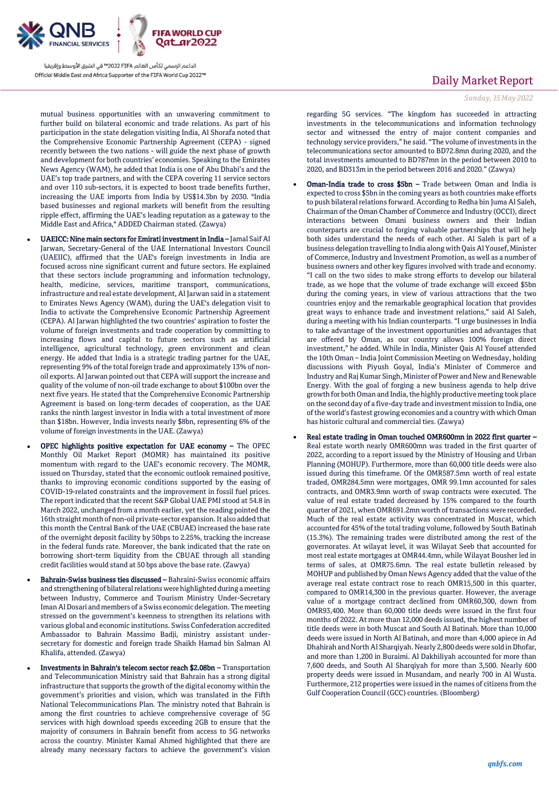

mutual business opportunities with an unwavering commitment to further build on bilateral economic and trade relations. As part of his participation in the state delegation visiting India, Al Shorafa noted that the Comprehensive Economic Partnership Agreement (CEPA) - signed recently between the two nations - will guide the next phase of growth and development for both countries' economies. Speaking to the Emirates News Agency (WAM), he added that India is one of Abu Dhabi's and the UAE's top trade partners, and with the CEPA covering 11 service sectors and over 110 sub-sectors, it is expected to boost trade benefits further, increasing the UAE imports from India by US\$14.3bn by 2030. "India based businesses and regional markets will benefit from the resulting ripple effect, affirming the UAE's leading reputation as a gateway to the Middle East and Africa," ADDED Chairman stated. (Zawya)

- UAEICC: Nine main sectors for Emirati investment in India Jamal Saif Al Jarwan, Secretary-General of the UAE International Investors Council (UAEIIC), affirmed that the UAE's foreign investments in India are focused across nine significant current and future sectors. He explained that these sectors include programming and information technology, health, medicine, services, maritime transport, communications, infrastructure and real estate development, Al Jarwan said in a statement to Emirates News Agency (WAM), during the UAE's delegation visit to India to activate the Comprehensive Economic Partnership Agreement (CEPA). Al Jarwan highlighted the two countries' aspiration to foster the volume of foreign investments and trade cooperation by committing to increasing flows and capital to future sectors such as artificial intelligence, agricultural technology, green environment and clean energy. He added that India is a strategic trading partner for the UAE, representing 9% of the total foreign trade and approximately 13% of nonoil exports. Al Jarwan pointed out that CEPA will support the increase and quality of the volume of non-oil trade exchange to about \$100bn over the next five years. He stated that the Comprehensive Economic Partnership Agreement is based on long-term decades of cooperation, as the UAE ranks the ninth largest investor in India with a total investment of more than \$18bn. However, India invests nearly \$8bn, representing 6% of the volume of foreign investments in the UAE. (Zawya)
- OPEC highlights positive expectation for UAE economy The OPEC Monthly Oil Market Report (MOMR) has maintained its positive momentum with regard to the UAE's economic recovery. The MOMR, issued on Thursday, stated that the economic outlook remained positive, thanks to improving economic conditions supported by the easing of COVID-19-related constraints and the improvement in fossil fuel prices. The report indicated that the recent S&P Global UAE PMI stood at 54.8 in March 2022, unchanged from a month earlier, yet the reading pointed the 16th straight month of non-oil private-sector expansion. It also added that this month the Central Bank of the UAE (CBUAE) increased the base rate of the overnight deposit facility by 50bps to 2.25%, tracking the increase in the federal funds rate. Moreover, the bank indicated that the rate on borrowing short-term liquidity from the CBUAE through all standing credit facilities would stand at 50 bps above the base rate. (Zawya)
- Bahrain-Swiss business ties discussed Bahraini-Swiss economic affairs and strengthening of bilateral relations were highlighted during a meeting between Industry, Commerce and Tourism Ministry Under-Secretary Iman Al Dosari and members of a Swiss economic delegation. The meeting stressed on the government's keenness to strengthen its relations with various global and economic institutions. Swiss Confederation accredited Ambassador to Bahrain Massimo Badji, ministry assistant undersecretary for domestic and foreign trade Shaikh Hamad bin Salman Al Khalifa, attended. (Zawya)
- Investments in Bahrain's telecom sector reach \$2.08bn Transportation and Telecommunication Ministry said that Bahrain has a strong digital infrastructure that supports the growth of the digital economy within the government's priorities and vision, which was translated in the Fifth National Telecommunications Plan. The ministry noted that Bahrain is among the first countries to achieve comprehensive coverage of 5G services with high download speeds exceeding 2GB to ensure that the majority of consumers in Bahrain benefit from access to 5G networks across the country. Minister Kamal Ahmed highlighted that there are already many necessary factors to achieve the government's vision

# Daily Market Report

*Sunday, 15May 2022*

regarding 5G services. "The kingdom has succeeded in attracting investments in the telecommunications and information technology sector and witnessed the entry of major content companies and technology service providers," he said. "The volume of investments in the telecommunications sector amounted to BD72.8mn during 2020, and the total investments amounted to BD787mn in the period between 2010 to 2020, and BD313m in the period between 2016 and 2020." (Zawya)

- Oman-India trade to cross \$5bn Trade between Oman and India is expected to cross \$5bn in the coming years as both countries make efforts to push bilateral relations forward. According to Redha bin Juma Al Saleh, Chairman of the Oman Chamber of Commerce and Industry (OCCI), direct interactions between Omani business owners and their Indian counterparts are crucial to forging valuable partnerships that will help both sides understand the needs of each other. Al Saleh is part of a business delegation travelling to India along with Qais Al Yousef, Minister of Commerce, Industry and Investment Promotion, as well as a number of business owners and other key figures involved with trade and economy. "I call on the two sides to make strong efforts to develop our bilateral trade, as we hope that the volume of trade exchange will exceed \$5bn during the coming years, in view of various attractions that the two countries enjoy and the remarkable geographical location that provides great ways to enhance trade and investment relations," said Al Saleh, during a meeting with his Indian counterparts. "I urge businesses in India to take advantage of the investment opportunities and advantages that are offered by Oman, as our country allows 100% foreign direct investment," he added. While in India, Minister Qais Al Yousef attended the 10th Oman – India Joint Commission Meeting on Wednesday, holding discussions with Piyush Goyal, India's Minister of Commerce and Industry and Raj Kumar Singh, Minister of Power and New and Renewable Energy. With the goal of forging a new business agenda to help drive growth for both Oman and India, the highly productive meeting took place on the second day of a five-day trade and investment mission to India, one of the world's fastest growing economies and a country with which Oman has historic cultural and commercial ties. (Zawya)
- Real estate trading in Oman touched OMR600mn in 2022 first quarter Real estate worth nearly OMR600mn was traded in the first quarter of 2022, according to a report issued by the Ministry of Housing and Urban Planning (MOHUP). Furthermore, more than 60,000 title deeds were also issued during this timeframe. Of the OMR587.5mn worth of real estate traded, OMR284.5mn were mortgages, OMR 99.1mn accounted for sales contracts, and OMR3.9mn worth of swap contracts were executed. The value of real estate traded decreased by 15% compared to the fourth quarter of 2021, when OMR691.2mn worth of transactions were recorded. Much of the real estate activity was concentrated in Muscat, which accounted for 45% of the total trading volume, followed by South Batinah (15.3%). The remaining trades were distributed among the rest of the governorates. At wilayat level, it was Wilayat Seeb that accounted for most real estate mortgages at OMR44.4mn, while Wilayat Bousher led in terms of sales, at OMR75.6mn. The real estate bulletin released by MOHUP and published by Oman News Agency added that the value of the average real estate contract rose to reach OMR15,500 in this quarter, compared to OMR14,300 in the previous quarter. However, the average value of a mortgage contract declined from OMR60,300, down from OMR93,400. More than 60,000 title deeds were issued in the first four months of 2022. At more than 12,000 deeds issued, the highest number of title deeds were in both Muscat and South Al Batinah. More than 10,000 deeds were issued in North Al Batinah, and more than 4,000 apiece in Ad Dhahirah and North Al Sharqiyah. Nearly 2,800 deeds were sold in Dhofar, and more than 1,200 in Buraimi. Al Dakhiliyah accounted for more than 7,600 deeds, and South Al Sharqiyah for more than 3,500. Nearly 600 property deeds were issued in Musandam, and nearly 700 in Al Wusta. Furthermore, 212 properties were issued in the names of citizens from the Gulf Cooperation Council (GCC) countries. (Bloomberg)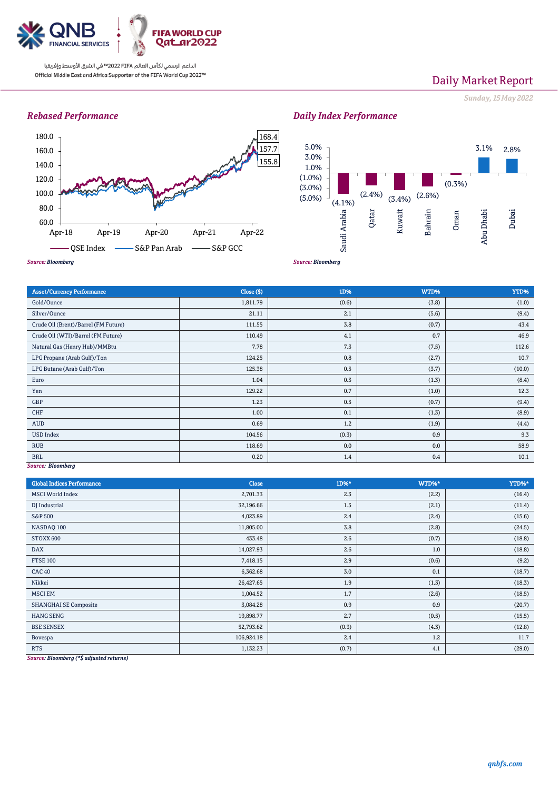

# Daily Market Report

*Sunday, 15May 2022*

## *Rebased Performance*



# *Daily Index Performance*



## Asset/Currency Performance Close (\$) 1D% WTD% YTD% Gold/Ounce (3.8) (1.0) (3.8) (3.8) (1.0) (5.8) (3.8) (3.8) (3.8) (3.9) (3.9) (3.9) (3.9) (3.9) (3.9) (3.9) (3.9 Silver/Ounce  $21.11$   $21.11$   $21.11$   $21.1$   $21.1$   $21.1$   $21.1$   $21.1$   $21.1$   $21.1$   $21.1$   $21.1$   $21.1$   $21.1$   $21.1$   $21.1$   $21.1$   $21.1$   $21.1$   $21.1$   $21.1$   $21.1$   $21.1$   $21.1$   $21.1$   $21.1$   $21.1$   $21.1$   $21.1$   $2$ Crude Oil (Brent)/Barrel (FM Future) 111.55 3.8 (0.7) 43.4 Crude Oil (WTI)/Barrel (FM Future) 110.49 10.49 10.7 4.1 0.7 46.9 Natural Gas (Henry Hub)/MMBtu 112.6 (7.5) 112.6 LPG Propane (Arab Gulf)/Ton 10.7 (2.7) 10.7 (2.7) LPG Butane (Arab Gulf)/Ton (10.0) (10.0) (10.0) (10.0) (10.0) (10.0) (10.0) (10.0) Euro (8.4)  $1.04$   $0.3$  (8.4)  $(1.3)$  (8.4) Yen  $12.3$  (1.0)  $12.3$  (1.0)  $12.3$ GBP  $1.23$   $1.23$   $0.5$   $0.7$   $(9.4)$ CHF  $0.1$  (1.3) (8.9) (8.9)  $\text{AUD} \quad \hspace{1.6cm} (1.9) \quad \hspace{1.6cm} (4.4)$ USD Index  $0.3$  0.9  $0.9$  9.3 RUB 118.69 0.0 0.0 58.9 58.9 58.9  $\,$ BRL  $0.20$   $1.4$   $0.4$   $0.4$   $10.1$

### *Source: Bloomberg*

| <b>Global Indices Performance</b> | Close      | 1D%*  | WTD%* | YTD%*  |
|-----------------------------------|------------|-------|-------|--------|
| <b>MSCI</b> World Index           | 2,701.33   | 2.3   | (2.2) | (16.4) |
| DJ Industrial                     | 32,196.66  | 1.5   | (2.1) | (11.4) |
| <b>S&amp;P 500</b>                | 4,023.89   | 2.4   | (2.4) | (15.6) |
| NASDAQ 100                        | 11,805.00  | 3.8   | (2.8) | (24.5) |
| STOXX 600                         | 433.48     | 2.6   | (0.7) | (18.8) |
| <b>DAX</b>                        | 14,027.93  | 2.6   | 1.0   | (18.8) |
| <b>FTSE 100</b>                   | 7,418.15   | 2.9   | (0.6) | (9.2)  |
| <b>CAC 40</b>                     | 6,362.68   | 3.0   | 0.1   | (18.7) |
| Nikkei                            | 26,427.65  | 1.9   | (1.3) | (18.3) |
| <b>MSCI EM</b>                    | 1,004.52   | 1.7   | (2.6) | (18.5) |
| <b>SHANGHAI SE Composite</b>      | 3,084.28   | 0.9   | 0.9   | (20.7) |
| <b>HANG SENG</b>                  | 19,898.77  | 2.7   | (0.5) | (15.5) |
| <b>BSE SENSEX</b>                 | 52,793.62  | (0.3) | (4.3) | (12.8) |
| Bovespa                           | 106,924.18 | 2.4   | 1.2   | 11.7   |
| <b>RTS</b>                        | 1,132.23   | (0.7) | 4.1   | (29.0) |

*Source: Bloomberg (\*\$ adjusted returns)*